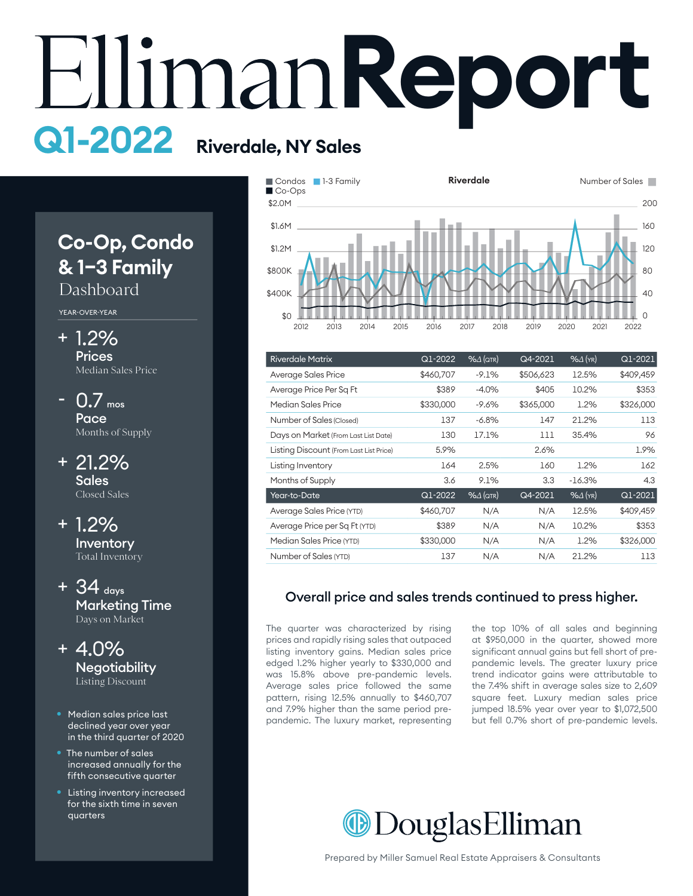# **Report Q1-2022 Riverdale, NY Sales**

# **Co-Op, Condo & 1–3 Family**

## Dashboard

YEAR-OVER-YEAR

- 1.2% + **Prices** Median Sales Price
- 0.7 mos Pace Months of Supply -
- 21.2% + Sales Closed Sales

1.2% + Inventory Total Inventory

- $+$  34  $_{days}$ Marketing Time Days on Market
- 4.0% + **Negotiability** Listing Discount
- Median sales price last declined year over year in the third quarter of 2020
- The number of sales increased annually for the fifth consecutive quarter
- Listing inventory increased for the sixth time in seven quarters



| <b>Riverdale Matrix</b>                 | Q1-2022   | $%4$ (QTR)          | Q4-2021   | $%$ $\Delta$ (YR) | Q1-2021   |
|-----------------------------------------|-----------|---------------------|-----------|-------------------|-----------|
| Average Sales Price                     | \$460.707 | $-9.1%$             | \$506,623 | 12.5%             | \$409,459 |
| Average Price Per Sq Ft                 | \$389     | $-4.0%$             | \$405     | 10.2%             | \$353     |
| Median Sales Price                      | \$330,000 | $-9.6\%$            | \$365,000 | 1.2%              | \$326,000 |
| Number of Sales (Closed)                | 137       | $-6.8%$             | 147       | 21.2%             | 113       |
| Days on Market (From Last List Date)    | 130       | 17.1%               | 111       | 35.4%             | 96        |
| Listing Discount (From Last List Price) | 5.9%      |                     | 2.6%      |                   | 1.9%      |
| Listing Inventory                       | 164       | 2.5%                | 160       | 1.2%              | 162       |
| Months of Supply                        | 3.6       | 9.1%                | 3.3       | $-16.3%$          | 4.3       |
| Year-to-Date                            | Q1-2022   | $% \triangle (QTR)$ | Q4-2021   | $%4$ (YR)         | Q1-2021   |
| Average Sales Price (YTD)               | \$460,707 | N/A                 | N/A       | 12.5%             | \$409,459 |
| Average Price per Sq Ft (YTD)           | \$389     | N/A                 | N/A       | 10.2%             | \$353     |
| Median Sales Price (YTD)                | \$330,000 | N/A                 | N/A       | 1.2%              | \$326,000 |
| Number of Sales (YTD)                   | 137       | N/A                 | N/A       | 21.2%             | 113       |

#### Overall price and sales trends continued to press higher.

The quarter was characterized by rising prices and rapidly rising sales that outpaced listing inventory gains. Median sales price edged 1.2% higher yearly to \$330,000 and was 15.8% above pre-pandemic levels. Average sales price followed the same pattern, rising 12.5% annually to \$460,707 and 7.9% higher than the same period prepandemic. The luxury market, representing the top 10% of all sales and beginning at \$950,000 in the quarter, showed more significant annual gains but fell short of prepandemic levels. The greater luxury price trend indicator gains were attributable to the 7.4% shift in average sales size to 2,609 square feet. Luxury median sales price jumped 18.5% year over year to \$1,072,500 but fell 0.7% short of pre-pandemic levels.